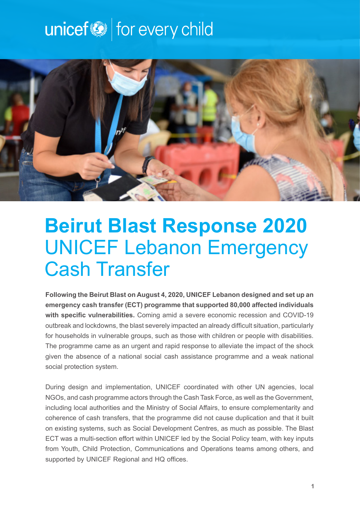# unicef<sup>(2)</sup> for every child



## **Beirut Blast Response 2020** UNICEF Lebanon Emergency Cash Transfer

**Following the Beirut Blast on August 4, 2020, UNICEF Lebanon designed and set up an emergency cash transfer (ECT) programme that supported 80,000 affected individuals with specific vulnerabilities.** Coming amid a severe economic recession and COVID-19 outbreak and lockdowns, the blast severely impacted an already difficult situation, particularly for households in vulnerable groups, such as those with children or people with disabilities. The programme came as an urgent and rapid response to alleviate the impact of the shock given the absence of a national social cash assistance programme and a weak national social protection system.

During design and implementation, UNICEF coordinated with other UN agencies, local NGOs, and cash programme actors through the Cash Task Force, as well as the Government, including local authorities and the Ministry of Social Affairs, to ensure complementarity and coherence of cash transfers, that the programme did not cause duplication and that it built on existing systems, such as Social Development Centres, as much as possible. The Blast ECT was a multi-section effort within UNICEF led by the Social Policy team, with key inputs from Youth, Child Protection, Communications and Operations teams among others, and supported by UNICEF Regional and HQ offices.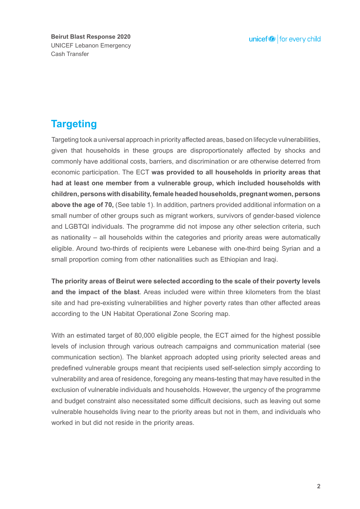**Beirut Blast Response 2020** UNICEF Lebanon Emergency Cash Transfer

## **Targeting**

Targeting took a universal approach in priority affected areas, based on lifecycle vulnerabilities, given that households in these groups are disproportionately affected by shocks and commonly have additional costs, barriers, and discrimination or are otherwise deterred from economic participation. The ECT **was provided to all households in priority areas that had at least one member from a vulnerable group, which included households with children, persons with disability, female headed households, pregnant women, persons above the age of 70,** (See table 1). In addition, partners provided additional information on a small number of other groups such as migrant workers, survivors of gender-based violence and LGBTQI individuals. The programme did not impose any other selection criteria, such as nationality – all households within the categories and priority areas were automatically eligible. Around two-thirds of recipients were Lebanese with one-third being Syrian and a small proportion coming from other nationalities such as Ethiopian and Iraqi.

**The priority areas of Beirut were selected according to the scale of their poverty levels and the impact of the blast**. Areas included were within three kilometers from the blast site and had pre-existing vulnerabilities and higher poverty rates than other affected areas according to the UN Habitat Operational Zone Scoring map.

With an estimated target of 80,000 eligible people, the ECT aimed for the highest possible levels of inclusion through various outreach campaigns and communication material (see communication section). The blanket approach adopted using priority selected areas and predefined vulnerable groups meant that recipients used self-selection simply according to vulnerability and area of residence, foregoing any means-testing that may have resulted in the exclusion of vulnerable individuals and households. However, the urgency of the programme and budget constraint also necessitated some difficult decisions, such as leaving out some vulnerable households living near to the priority areas but not in them, and individuals who worked in but did not reside in the priority areas.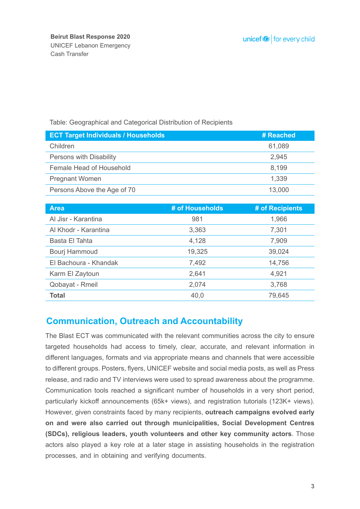#### Table: Geographical and Categorical Distribution of Recipients

| <b>ECT Target Individuals / Households</b> | # Reached |
|--------------------------------------------|-----------|
| Children                                   | 61,089    |
| Persons with Disability                    | 2,945     |
| Female Head of Household                   | 8,199     |
| <b>Pregnant Women</b>                      | 1,339     |
| Persons Above the Age of 70                | 13,000    |
|                                            |           |

| <b>Area</b>           | # of Households | # of Recipients |
|-----------------------|-----------------|-----------------|
| Al Jisr - Karantina   | 981             | 1,966           |
| Al Khodr - Karantina  | 3,363           | 7,301           |
| Basta El Tahta        | 4,128           | 7,909           |
| Bourj Hammoud         | 19,325          | 39,024          |
| El Bachoura - Khandak | 7,492           | 14,756          |
| Karm El Zaytoun       | 2,641           | 4,921           |
| Qobayat - Rmeil       | 2,074           | 3,768           |
| <b>Total</b>          | 40,0            | 79,645          |

#### **Communication, Outreach and Accountability**

The Blast ECT was communicated with the relevant communities across the city to ensure targeted households had access to timely, clear, accurate, and relevant information in different languages, formats and via appropriate means and channels that were accessible to different groups. Posters, flyers, UNICEF website and social media posts, as well as Press release, and radio and TV interviews were used to spread awareness about the programme. Communication tools reached a significant number of households in a very short period, particularly kickoff announcements (65k+ views), and registration tutorials (123K+ views). However, given constraints faced by many recipients, **outreach campaigns evolved early on and were also carried out through municipalities, Social Development Centres (SDCs), religious leaders, youth volunteers and other key community actors**. Those actors also played a key role at a later stage in assisting households in the registration processes, and in obtaining and verifying documents.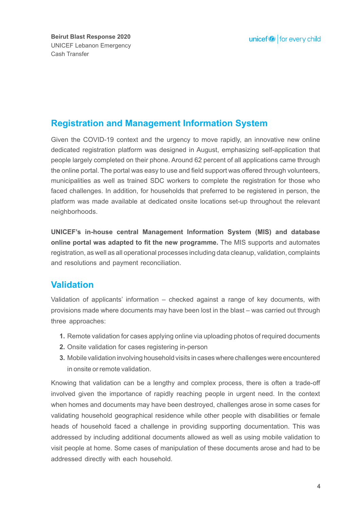### **Registration and Management Information System**

Given the COVID-19 context and the urgency to move rapidly, an innovative new online dedicated registration platform was designed in August, emphasizing self-application that people largely completed on their phone. Around 62 percent of all applications came through the online portal. The portal was easy to use and field support was offered through volunteers, municipalities as well as trained SDC workers to complete the registration for those who faced challenges. In addition, for households that preferred to be registered in person, the platform was made available at dedicated onsite locations set-up throughout the relevant neighborhoods.

**UNICEF's in-house central Management Information System (MIS) and database online portal was adapted to fit the new programme.** The MIS supports and automates registration, as well as all operational processes including data cleanup, validation, complaints and resolutions and payment reconciliation.

#### **Validation**

Validation of applicants' information – checked against a range of key documents, with provisions made where documents may have been lost in the blast – was carried out through three approaches:

- **1.** Remote validation for cases applying online via uploading photos of required documents
- Onsite validation for cases registering in-person **2.**
- Mobile validation involving household visits in cases where challenges were encountered **3.** in onsite or remote validation.

Knowing that validation can be a lengthy and complex process, there is often a trade-off involved given the importance of rapidly reaching people in urgent need. In the context when homes and documents may have been destroyed, challenges arose in some cases for validating household geographical residence while other people with disabilities or female heads of household faced a challenge in providing supporting documentation. This was addressed by including additional documents allowed as well as using mobile validation to visit people at home. Some cases of manipulation of these documents arose and had to be addressed directly with each household.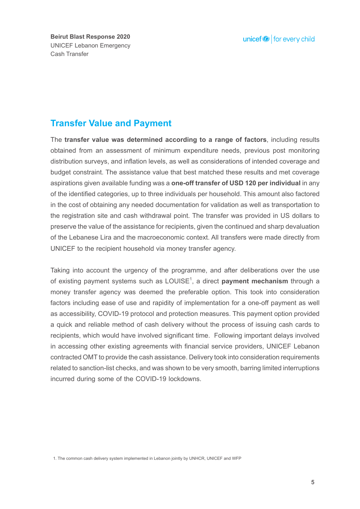**Beirut Blast Response 2020** UNICEF Lebanon Emergency Cash Transfer

### **Transfer Value and Payment**

The **transfer value was determined according to a range of factors**, including results obtained from an assessment of minimum expenditure needs, previous post monitoring distribution surveys, and inflation levels, as well as considerations of intended coverage and budget constraint. The assistance value that best matched these results and met coverage aspirations given available funding was a **one-off transfer of USD 120 per individual** in any of the identified categories, up to three individuals per household. This amount also factored in the cost of obtaining any needed documentation for validation as well as transportation to the registration site and cash withdrawal point. The transfer was provided in US dollars to preserve the value of the assistance for recipients, given the continued and sharp devaluation of the Lebanese Lira and the macroeconomic context. All transfers were made directly from UNICEF to the recipient household via money transfer agency.

Taking into account the urgency of the programme, and after deliberations over the use of existing payment systems such as LOUISE<sup>1</sup>, a direct **payment mechanism** through a money transfer agency was deemed the preferable option. This took into consideration factors including ease of use and rapidity of implementation for a one-off payment as well as accessibility, COVID-19 protocol and protection measures. This payment option provided a quick and reliable method of cash delivery without the process of issuing cash cards to recipients, which would have involved significant time. Following important delays involved in accessing other existing agreements with financial service providers, UNICEF Lebanon contracted OMT to provide the cash assistance. Delivery took into consideration requirements related to sanction-list checks, and was shown to be very smooth, barring limited interruptions incurred during some of the COVID-19 lockdowns.

1. The common cash delivery system implemented in Lebanon jointly by UNHCR, UNICEF and WFP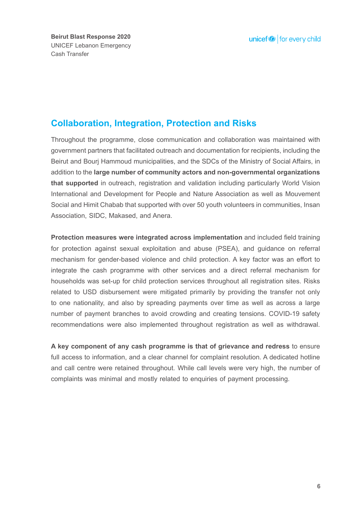### **Collaboration, Integration, Protection and Risks**

Throughout the programme, close communication and collaboration was maintained with government partners that facilitated outreach and documentation for recipients, including the Beirut and Bourj Hammoud municipalities, and the SDCs of the Ministry of Social Affairs, in addition to the **large number of community actors and non-governmental organizations that supported** in outreach, registration and validation including particularly World Vision International and Development for People and Nature Association as well as Mouvement Social and Himit Chabab that supported with over 50 youth volunteers in communities, Insan Association, SIDC, Makased, and Anera.

**Protection measures were integrated across implementation** and included field training for protection against sexual exploitation and abuse (PSEA), and guidance on referral mechanism for gender-based violence and child protection. A key factor was an effort to integrate the cash programme with other services and a direct referral mechanism for households was set-up for child protection services throughout all registration sites. Risks related to USD disbursement were mitigated primarily by providing the transfer not only to one nationality, and also by spreading payments over time as well as across a large number of payment branches to avoid crowding and creating tensions. COVID-19 safety recommendations were also implemented throughout registration as well as withdrawal.

**A key component of any cash programme is that of grievance and redress** to ensure full access to information, and a clear channel for complaint resolution. A dedicated hotline and call centre were retained throughout. While call levels were very high, the number of complaints was minimal and mostly related to enquiries of payment processing.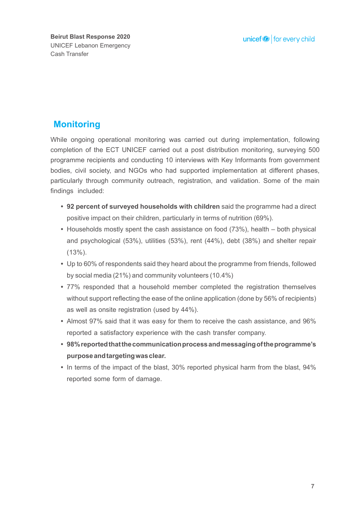### **Monitoring**

While ongoing operational monitoring was carried out during implementation, following completion of the ECT UNICEF carried out a post distribution monitoring, surveying 500 programme recipients and conducting 10 interviews with Key Informants from government bodies, civil society, and NGOs who had supported implementation at different phases, particularly through community outreach, registration, and validation. Some of the main findings included:

- **92 percent of surveyed households with children** said the programme had a direct **•** positive impact on their children, particularly in terms of nutrition (69%).
- Households mostly spent the cash assistance on food (73%), health both physical and psychological (53%), utilities (53%), rent (44%), debt (38%) and shelter repair (13%).
- Up to 60% of respondents said they heard about the programme from friends, followed **•** by social media (21%) and community volunteers (10.4%)
- 77% responded that a household member completed the registration themselves **•** without support reflecting the ease of the online application (done by 56% of recipients) as well as onsite registration (used by 44%).
- Almost 97% said that it was easy for them to receive the cash assistance, and 96% **•** reported a satisfactory experience with the cash transfer company.
- **98% reported that the communication process and messaging of the programme's • purpose and targeting was clear.**
- In terms of the impact of the blast, 30% reported physical harm from the blast, 94% reported some form of damage.